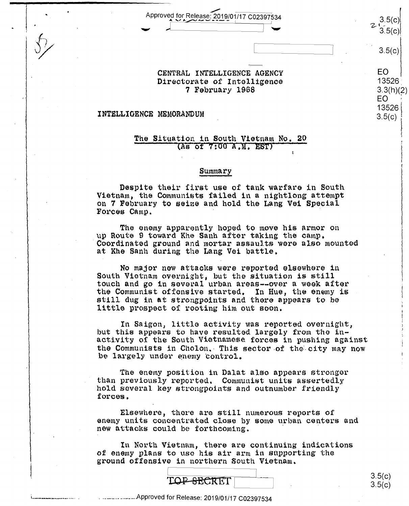Approved for Release: 2019/01/17 C02397534

CENTRAL INTELLIGENCE AGENCY Directorate of Intelligence 7 February 1968

#### INTELLIGENCE MEMORANDUM

#### The Situation in South Vietnam No. 20 (As of 7:00 A.M. EST)

#### Summary

Despite their first use of tank warfare in South Vietnam, the Communists failed in a nightlong attempt on 7 February to seize and hold the Lang Vei Special Forces Camp.

The enemy apparently hoped to move his armor on up Route 9 toward Khe Sanh after taking the camp. Coordinated ground and mortar assaults were also mounted at Khe Sanh during the Lang Vei battle.

No major new attacks were reported elsewhere in South Vietnam overnight, but the situation is still touch and go in several urban areas--over a week after the Communist offensive started. In Hue, the enemy is still dug in at strongpoints and there appears to be little prospect of rooting him out soon.

In Saigon, little activity was reported overnight, but this appears to have resulted largely from the inactivity of the South Vietnamese forces in pushing against the Communists in Cholon. This sector of the city may now be largely under enemy control.

The enemy position in Dalat also appears stronger than previously reported. Communist units assertedly hold several key strongpoints and outnumber friendly forces.

Elsewhere, there are still numerous reports of enemy units concentrated close by some urban centers and new attacks could be forthcoming.

In North Vietnam, there are continuing indications of enemy plans to use his air arm in supporting the ground offensive in northern South Vietnam.



 $3.5(c)$  $3.5(c)$ 

3.5(c)

 $3.5(c)$ 

13526

 $3.5(c)$ 

 $3.3(h)(2)$ EO 13526

EO

Approved for Release: 2019/01/17 C02397534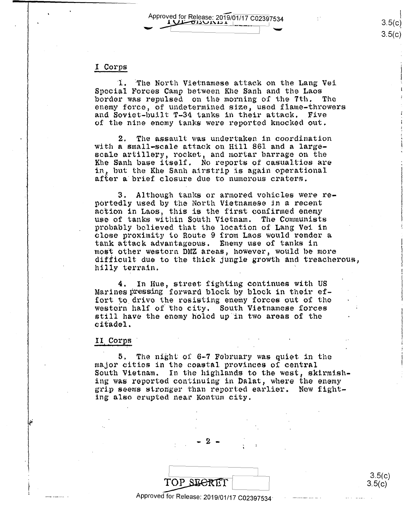Approved for Release: 2019/01/17 C02397534

#### I Corps

1. The North Vietnamese attack on the Lang Vei Special Forces Camp between Khe Sanh and the Laos border was repulsed on the morning of the 7th. The enemy force, of undetermined size, used flame-throwers and Soviet-built T-34 tanks in their attack. Five of the nine enemy tanks were reported knocked out.

2. The assault was undertaken in coordination with a small-scale attack on Hill 861 and a largescale artillery, rocket, and mortar barrage on the Khe Sanh base itself. No reports of casualties are in, but the Khe Sanh airstrip is again operational after a brief closure due to numerous craters.

Although tanks or armored vehicles were re-3. portedly used by the North Vietnamese in a recent action in Laos, this is the first confirmed enemy use of tanks within South Vietnam. The Communists probably believed that the location of Lang Vei in close proximity to Route 9 from Laos would render a tank attack advantageous. Enemy use of tanks in most other westorn DMZ areas, however, would be more difficult due to the thick jungle growth and treacherous, hilly terrain.

In Hue, street fighting continues with US 4. Marines pressing forward block by block in their effort to drive the resisting enemy forces out of the western half of the city. South Vietnamese forces still have the enemy holed up in two areas of the citadel.

#### II Corps

5. The night of 6-7 February was quiet in the major cities in the coastal provinces of central South Vietnam. In the highlands to the west, skirmishing was reported continuing in Dalat, where the enemy grip seems stronger than reported earlier. New fighting also erupted near Kontum city.

| TOP SECRET                                 |
|--------------------------------------------|
| Approved for Release: 2019/01/17 C02397534 |

 $3.5(c)$  $3.5(c)$ 

 $3.5(c)$  $3.5(c)$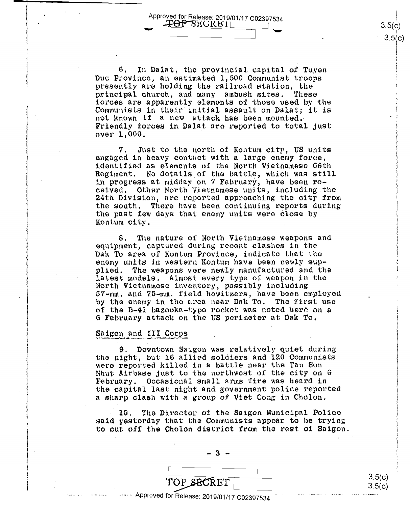Approved for Release: 2019/01/17 C02397534<br>  $\begin{array}{r} 3.5(c) \\ \hline \end{array}$  3.5(c)<br>
3.5(c)  $\pm$ OP SECRET!

 $3.5(c)$  $3.5(c)$ 

 $\begin{bmatrix} 1 \\ 1 \end{bmatrix}$ 

6. In Dalat, the provincial capital of Tuyen Due Province, nn estimated 1,500 Communist troops Duc Province, an estimated 1,500 Communist troops presently are holding the railroad station, the  $\frac{1}{p}$ rincipal church, and many ambush sites. These forces are apparently elements of those used by the rorces are apparently elements of those used by the<br>Communists in their initial assault on Dalat; it is not known if a new attack has been mounted. Friendly forces in Dalat are reported to total just over 1,000. over 1,000.

7. Just to the north of Kontum city, US units engaged in heavy contact with a large enemy force, engaged in heavy contact with <sup>a</sup> large enemy force, identified as elements of the North Vietnamese 66th regiment. No details of the battle, which was still in progress at midday on 7 February, have been re-in progress at midday on 7 February, have been received. Other North Vietnamese units, including .the ceived. Other North Vietnamese units, including.the 24th Division 1 are reported approaching the city from 24th Division, are reported approaching the city from the south. There have been continuing reports during the south. There have been continuing reports during the past few days that enemy units were close by the past few days that enemy units were close by Kontum city. Kontum city.

8. The nature of North Vietnamose weapons and 8. The nature of North Vietnamese weapons and equipment, captured during recent clashes in the Dak To area of Kontum Province, indicate that the enemy units in western Kontum have been newly supplied. The weapons were newly manufactured and the plied. The weapons were newly manufactured and the latest models. Almost every type of weapon in the latest models. Almost every type of weapon in the North Vietnamese i.nventory, possibly including North Vietnamese inventory, possibly including 57-mm. and 75-mm. field howitzers, have been employed by the onemy in the area near Dak To. The first use by the enemy in the area near Dak To. The first use of the B-41 bazooka-type rocket was noted here on a 6 Febt·1.un·y attack on the US perimeter at Dak To. 6 February attack on the Us perimeter at Dak To.

## Saigon and III Corps

 $\begin{bmatrix} 1 \\ 1 \end{bmatrix}$ 

9. Downtown Saigon was relatively quiet during the night, but 16 allied soldiers and 120 Communists were reported killad in a battle near the Tan Son were reported killed in <sup>a</sup> battle near the Tan Son Nhut Airbase just to the northwest of the city on 6 mant this subset of our constant of the categories of the categories of the categories of the categories of the the capital last night and government police reported the capital last night and governmen<sup>t</sup> police reported a sharp clash with a group of Viet Cong in Cholon. <sup>a</sup> sharp clash with <sup>a</sup> group of Viet Cong in Cholon.

10. The Director of the Saigon Municipal Police said yesterday that the Communists appear to be trying to cut of! the Cholon district from the rest of Saigon. to out off the Cholcn district from the rest of Saigon.

 $-3 -$ 

 $\begin{array}{c|c} \hline \text{TOP} & \text{SECRET} & 3.5(c) \ \text{TOP} & \text{SECRET} & 3.5(c) \ \hline \end{array}$ 

3.5(c) 3.5(c) 'A qwydd yn y cyfeithiau yn y cyfeithiau yn y cyfeithiau yn y cyfeithiau yn y cyfeithiau yn y cyfeithiau yn y<br>A gwyn cyfeithiau yn y cyfeithiau yn y cyfeithiau yn y cyfeithiau yn y cyfeithiau yn y cyfeithiau yn y cyfeith

'"

TOP SECRET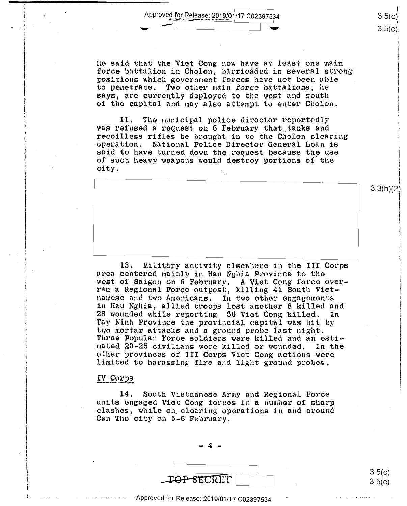Approved for Release: 2019/01/17 C02397534 - --, 1 ....

 $\blacksquare$  and  $\blacksquare$  we have the set of  $\blacksquare$ 

He said that the Viet Cong now have at least one main He said that the Viet Cong now have at least one main force battalion in Cholon, barricaded in several strong force battalion in Cholon, barricaded in several strong' positions which government forces have not been able to penetrate. Two other main force battalions, he says, are currently deployed to the west and south of the capital and may also attempt to enter Cholon.

11. The municipal pol.ice diroctor reportedly 11. The municipal police director reportedly was refused a request on 6 February that tanks and recoilless rifles be brought in to the Cholon clearing recoilless rifles be brought in to the Cholon clearing operation. National Police Director General Loan is Operation. National Police Director General Loan is said to have turned down the request because the use said to have turned down the request because the use of such heavy weapons would destroy portions of the city.

13. Military activity elsewhere in the III Corps area centered mainly in Hau Nghia Province to the area centered mainly in Han Nghia Province to the west of Saigon on 6 February, A Viet Cong force overran a Regional Force outpost, killing 41 South Vietnamese and two Americans. In two other engagements in Hau Nghia, allied troops lost another 8 killed and 28 wounded while reporting 56 Viet Cong killed. In Tay Ninh Province the provincial capital was hit by Tay Ninh Province the provincial capital was hit by two mortar attacks and a ground probe last night.<br>Throe Popular Force soldiers were killed and an estimated 20-25 civilians wore killed or wounded. In the mated 20—25 civilians were killed or wounded. In the other provinces of III Corps Viet Cong actions were other provinces of III Corps Viet Cong actions were limited to harassing fire and light ground probes • limited to harassing fire and light ground probes. west of Saigon on 6 February. A Viet Cong force overran <sup>a</sup> Regional Force outpost, killing 41 South Viet— Three Popular Force soldiers were killed and an esti—

### IV Corps

l..

14. South Vietnamese Army and Regional Force '14. South Vietnamese Army and Regional Force units engaged Viet Cong forces in a number of sharp clashes, while on clearing operations in and around Can Tho city on 5-6 February. Can The city on 5~6 February. clashes, while on clearing operations in and around

> - 4 - "'4-

\_ioP 8E.CRET . 4 131- . %. '

 $3.5(c)$  $3.5(c)$ 

I 3.5(c)  $3.5(c)$ 

3.3(h)(2)

I

··- ·-····· ····· ·· · ··Approved for Release: 2019/01/17 C02397534 --Approved for Release: 2019/01/17 002397534